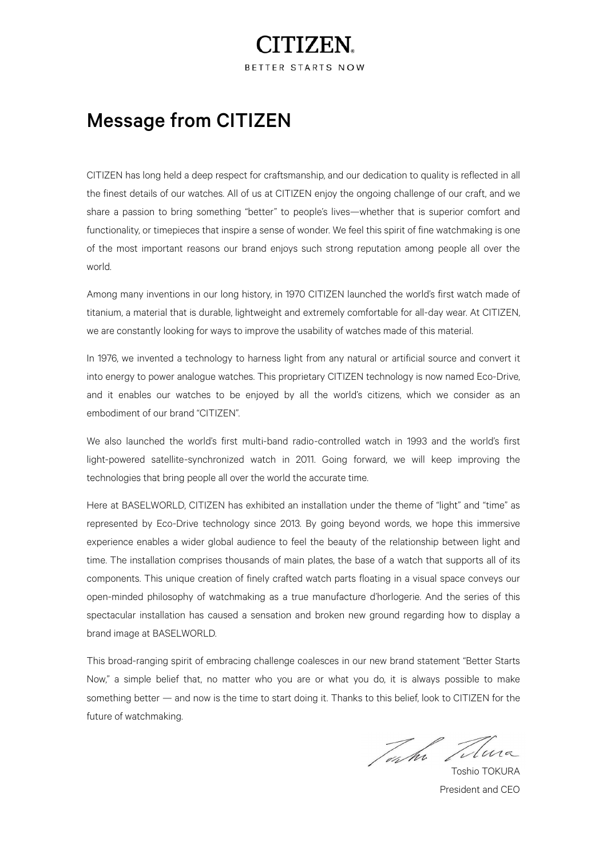## TTZE1

BETTER STARTS NOW

## Message from CITIZEN

CITIZEN has long held a deep respect for craftsmanship, and our dedication to quality is reflected in all the finest details of our watches. All of us at CITIZEN enjoy the ongoing challenge of our craft, and we share a passion to bring something "better" to people's lives—whether that is superior comfort and functionality, or timepieces that inspire a sense of wonder. We feel this spirit of fine watchmaking is one of the most important reasons our brand enjoys such strong reputation among people all over the world.

Among many inventions in our long history, in 1970 CITIZEN launched the world's first watch made of titanium, a material that is durable, lightweight and extremely comfortable for all-day wear. At CITIZEN, we are constantly looking for ways to improve the usability of watches made of this material.

In 1976, we invented a technology to harness light from any natural or artificial source and convert it into energy to power analogue watches. This proprietary CITIZEN technology is now named Eco-Drive, and it enables our watches to be enjoyed by all the world's citizens, which we consider as an embodiment of our brand "CITIZEN".

We also launched the world's first multi-band radio-controlled watch in 1993 and the world's first light-powered satellite-synchronized watch in 2011. Going forward, we will keep improving the technologies that bring people all over the world the accurate time.

Here at BASELWORLD, CITIZEN has exhibited an installation under the theme of "light" and "time" as represented by Eco-Drive technology since 2013. By going beyond words, we hope this immersive experience enables a wider global audience to feel the beauty of the relationship between light and time. The installation comprises thousands of main plates, the base of a watch that supports all of its components. This unique creation of finely crafted watch parts floating in a visual space conveys our open-minded philosophy of watchmaking as a true manufacture d'horlogerie. And the series of this spectacular installation has caused a sensation and broken new ground regarding how to display a brand image at BASELWORLD.

This broad-ranging spirit of embracing challenge coalesces in our new brand statement "Better Starts Now," a simple belief that, no matter who you are or what you do, it is always possible to make something better — and now is the time to start doing it. Thanks to this belief, look to CITIZEN for the future of watchmaking.

Toshio TOKURA

President and CEO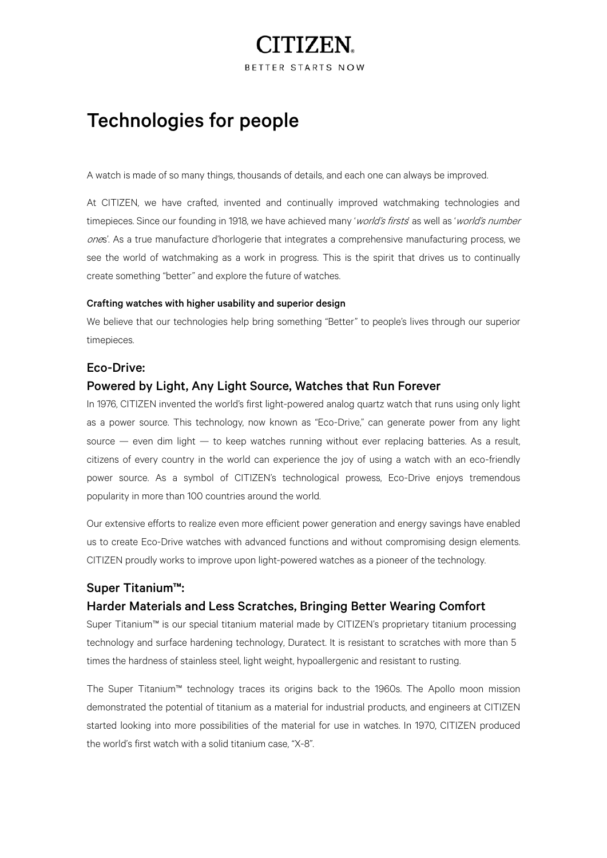# ITIZEN.

BETTER STARTS NOW

## Technologies for people

A watch is made of so many things, thousands of details, and each one can always be improved.

At CITIZEN, we have crafted, invented and continually improved watchmaking technologies and timepieces. Since our founding in 1918, we have achieved many 'world's firsts' as well as 'world's number ones'. As a true manufacture d'horlogerie that integrates a comprehensive manufacturing process, we see the world of watchmaking as a work in progress. This is the spirit that drives us to continually create something "better" and explore the future of watches.

#### Crafting watches with higher usability and superior design

We believe that our technologies help bring something "Better" to people's lives through our superior timepieces.

#### Eco-Drive:

#### Powered by Light, Any Light Source, Watches that Run Forever

In 1976, CITIZEN invented the world's first light-powered analog quartz watch that runs using only light as a power source. This technology, now known as "Eco-Drive," can generate power from any light source — even dim light — to keep watches running without ever replacing batteries. As a result, citizens of every country in the world can experience the joy of using a watch with an eco-friendly power source. As a symbol of CITIZEN's technological prowess, Eco-Drive enjoys tremendous popularity in more than 100 countries around the world.

Our extensive efforts to realize even more efficient power generation and energy savings have enabled us to create Eco-Drive watches with advanced functions and without compromising design elements. CITIZEN proudly works to improve upon light-powered watches as a pioneer of the technology.

### Super Titanium™:

#### Harder Materials and Less Scratches, Bringing Better Wearing Comfort

Super Titanium™ is our special titanium material made by CITIZEN's proprietary titanium processing technology and surface hardening technology, Duratect. It is resistant to scratches with more than 5 times the hardness of stainless steel, light weight, hypoallergenic and resistant to rusting.

The Super Titanium™ technology traces its origins back to the 1960s. The Apollo moon mission demonstrated the potential of titanium as a material for industrial products, and engineers at CITIZEN started looking into more possibilities of the material for use in watches. In 1970, CITIZEN produced the world's first watch with a solid titanium case, "X-8".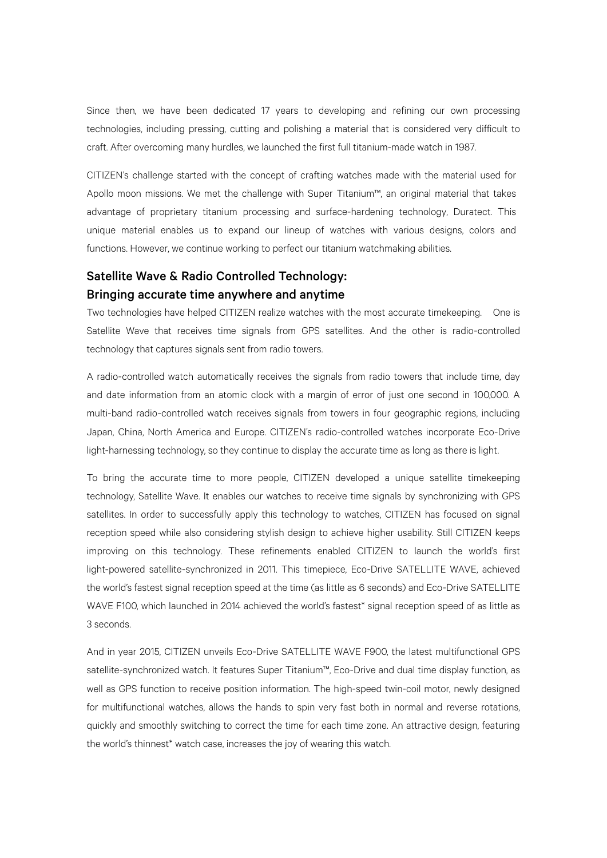Since then, we have been dedicated 17 years to developing and refining our own processing technologies, including pressing, cutting and polishing a material that is considered very difficult to craft. After overcoming many hurdles, we launched the first full titanium-made watch in 1987.

CITIZEN's challenge started with the concept of crafting watches made with the material used for Apollo moon missions. We met the challenge with Super Titanium™, an original material that takes advantage of proprietary titanium processing and surface-hardening technology, Duratect. This unique material enables us to expand our lineup of watches with various designs, colors and functions. However, we continue working to perfect our titanium watchmaking abilities.

### Satellite Wave & Radio Controlled Technology: Bringing accurate time anywhere and anytime

Two technologies have helped CITIZEN realize watches with the most accurate timekeeping. One is Satellite Wave that receives time signals from GPS satellites. And the other is radio-controlled technology that captures signals sent from radio towers.

A radio-controlled watch automatically receives the signals from radio towers that include time, day and date information from an atomic clock with a margin of error of just one second in 100,000. A multi-band radio-controlled watch receives signals from towers in four geographic regions, including Japan, China, North America and Europe. CITIZEN's radio-controlled watches incorporate Eco-Drive light-harnessing technology, so they continue to display the accurate time as long as there is light.

To bring the accurate time to more people, CITIZEN developed a unique satellite timekeeping technology, Satellite Wave. It enables our watches to receive time signals by synchronizing with GPS satellites. In order to successfully apply this technology to watches, CITIZEN has focused on signal reception speed while also considering stylish design to achieve higher usability. Still CITIZEN keeps improving on this technology. These refinements enabled CITIZEN to launch the world's first light-powered satellite-synchronized in 2011. This timepiece, Eco-Drive SATELLITE WAVE, achieved the world's fastest signal reception speed at the time (as little as 6 seconds) and Eco-Drive SATELLITE WAVE F100, which launched in 2014 achieved the world's fastest\* signal reception speed of as little as 3 seconds.

And in year 2015, CITIZEN unveils Eco-Drive SATELLITE WAVE F900, the latest multifunctional GPS satellite-synchronized watch. It features Super Titanium™, Eco-Drive and dual time display function, as well as GPS function to receive position information. The high-speed twin-coil motor, newly designed for multifunctional watches, allows the hands to spin very fast both in normal and reverse rotations, quickly and smoothly switching to correct the time for each time zone. An attractive design, featuring the world's thinnest\* watch case, increases the joy of wearing this watch.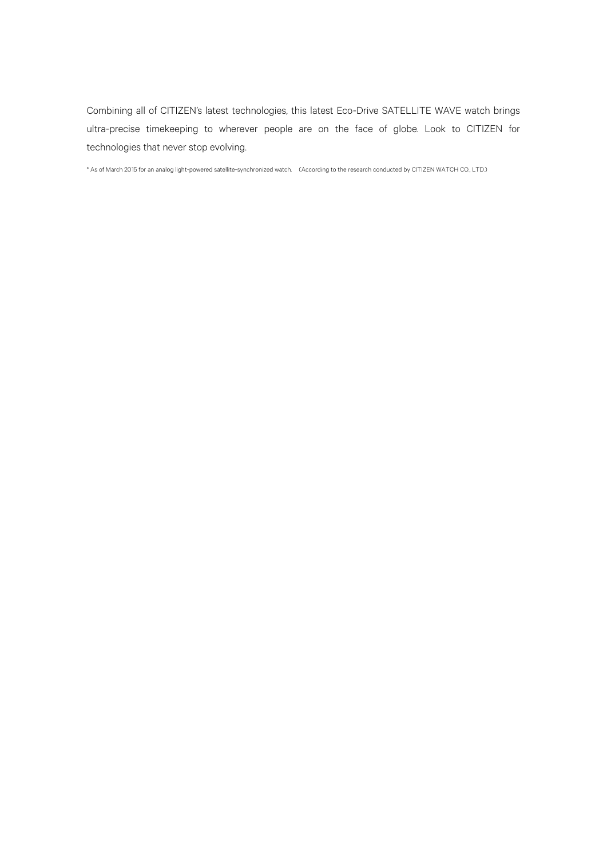Combining all of CITIZEN's latest technologies, this latest Eco-Drive SATELLITE WAVE watch brings ultra-precise timekeeping to wherever people are on the face of globe. Look to CITIZEN for technologies that never stop evolving.

\* As of March 2015 for an analog light-powered satellite-synchronized watch. (According to the research conducted by CITIZEN WATCH CO., LTD.)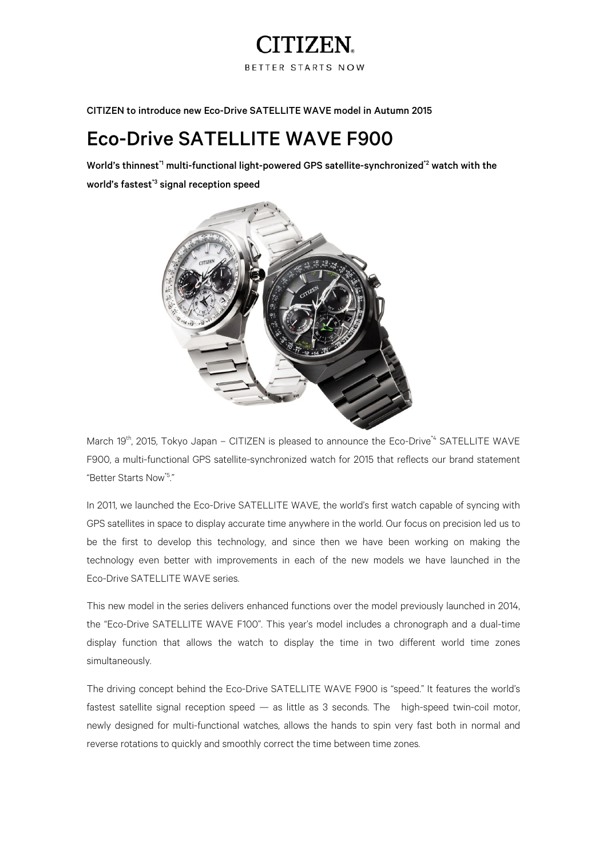## ITIZEN

**BETTER STARTS NOW** 

CITIZEN to introduce new Eco-Drive SATELLITE WAVE model in Autumn 2015

### Eco-Drive SATELLITE WAVE F900

World's thinnest<sup>\*1</sup> multi-functional light-powered GPS satellite-synchronized<sup>\*2</sup> watch with the world's fastest<sup>\*3</sup> signal reception speed



March 19<sup>th</sup>, 2015, Tokyo Japan – CITIZEN is pleased to announce the Eco-Drive<sup>\*4</sup> SATELLITE WAVE F900, a multi-functional GPS satellite-synchronized watch for 2015 that reflects our brand statement "Better Starts Now\*5."

In 2011, we launched the Eco-Drive SATELLITE WAVE, the world's first watch capable of syncing with GPS satellites in space to display accurate time anywhere in the world. Our focus on precision led us to be the first to develop this technology, and since then we have been working on making the technology even better with improvements in each of the new models we have launched in the Eco-Drive SATELLITE WAVE series.

This new model in the series delivers enhanced functions over the model previously launched in 2014, the "Eco-Drive SATELLITE WAVE F100". This year's model includes a chronograph and a dual-time display function that allows the watch to display the time in two different world time zones simultaneously.

The driving concept behind the Eco-Drive SATELLITE WAVE F900 is "speed." It features the world's fastest satellite signal reception speed — as little as 3 seconds. The high-speed twin-coil motor, newly designed for multi-functional watches, allows the hands to spin very fast both in normal and reverse rotations to quickly and smoothly correct the time between time zones.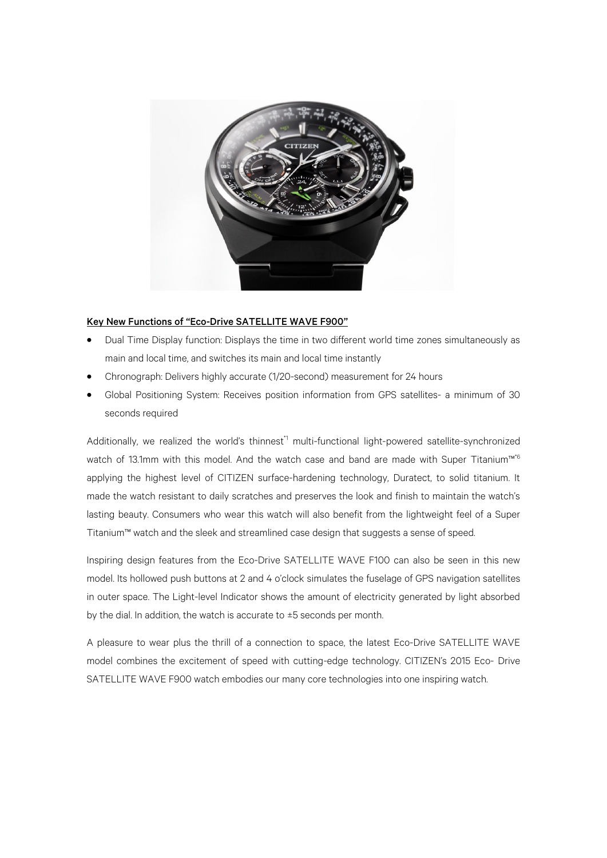

#### Key New Functions of "Eco-Drive SATELLITE WAVE F900"

- Dual Time Display function: Displays the time in two different world time zones simultaneously as main and local time, and switches its main and local time instantly
- Chronograph: Delivers highly accurate (1/20-second) measurement for 24 hours
- Global Positioning System: Receives position information from GPS satellites- a minimum of 30 seconds required

Additionally, we realized the world's thinnest<sup>\*1</sup> multi-functional light-powered satellite-synchronized watch of 13.1mm with this model. And the watch case and band are made with Super Titanium™<sup>6</sup> applying the highest level of CITIZEN surface-hardening technology, Duratect, to solid titanium. It made the watch resistant to daily scratches and preserves the look and finish to maintain the watch's lasting beauty. Consumers who wear this watch will also benefit from the lightweight feel of a Super Titanium™ watch and the sleek and streamlined case design that suggests a sense of speed.

Inspiring design features from the Eco-Drive SATELLITE WAVE F100 can also be seen in this new model. Its hollowed push buttons at 2 and 4 o'clock simulates the fuselage of GPS navigation satellites in outer space. The Light-level Indicator shows the amount of electricity generated by light absorbed by the dial. In addition, the watch is accurate to ±5 seconds per month.

A pleasure to wear plus the thrill of a connection to space, the latest Eco-Drive SATELLITE WAVE model combines the excitement of speed with cutting-edge technology. CITIZEN's 2015 Eco- Drive SATELLITE WAVE F900 watch embodies our many core technologies into one inspiring watch.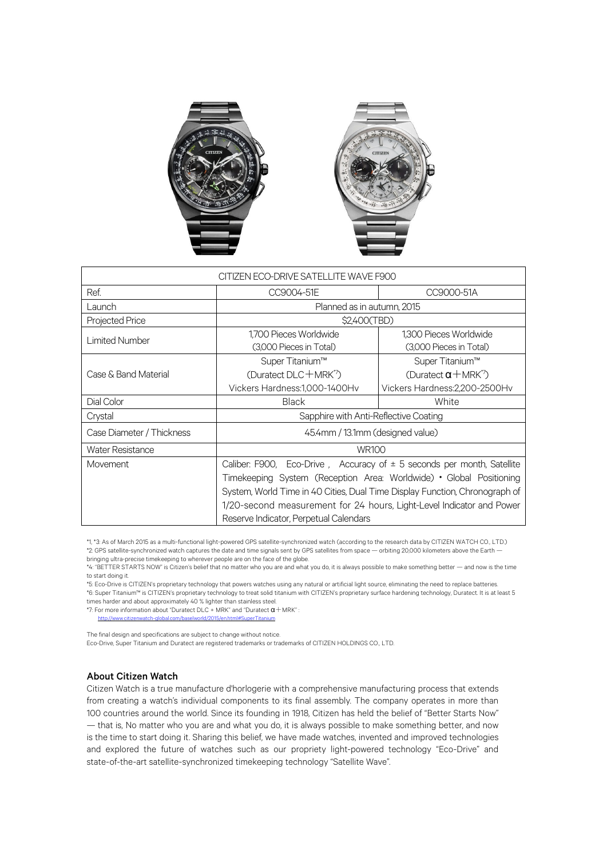

| CITIZEN ECO-DRIVE SATELLITE WAVE F900 |                                                                             |                                     |
|---------------------------------------|-----------------------------------------------------------------------------|-------------------------------------|
| Ref.                                  | CC9004-51E                                                                  | CC9000-51A                          |
| Launch                                | Planned as in autumn, 2015                                                  |                                     |
| <b>Projected Price</b>                | \$2,400(TBD)                                                                |                                     |
| Limited Number                        | 1,700 Pieces Worldwide                                                      | 1,300 Pieces Worldwide              |
|                                       | (3,000 Pieces in Total)                                                     | (3,000 Pieces in Total)             |
| Case & Band Material                  | Super Titanium™                                                             | Super Titanium™                     |
|                                       | (Duratect DLC + MRK <sup>7</sup> )                                          | (Duratect $\alpha + \text{MRK}^2$ ) |
|                                       | Vickers Hardness: 1,000-1400Hv                                              | Vickers Hardness: 2, 200-2500 Hv    |
| Dial Color                            | <b>Black</b>                                                                | White                               |
| Crystal                               | Sapphire with Anti-Reflective Coating                                       |                                     |
| Case Diameter / Thickness             | 45.4mm / 13.1mm (designed value)                                            |                                     |
| <b>Water Resistance</b>               | <b>WR100</b>                                                                |                                     |
| Movement                              | Caliber: F900, Eco-Drive, Accuracy of $\pm$ 5 seconds per month, Satellite  |                                     |
|                                       | Timekeeping System (Reception Area: Worldwide) • Global Positioning         |                                     |
|                                       | System, World Time in 40 Cities, Dual Time Display Function, Chronograph of |                                     |
|                                       | 1/20-second measurement for 24 hours, Light-Level Indicator and Power       |                                     |
|                                       | Reserve Indicator, Perpetual Calendars                                      |                                     |

\*1, \*3: As of March 2015 as a multi-functional light-powered GPS satellite-synchronized watch (according to the research data by CITIZEN WATCH CO., LTD.) \*2: GPS satellite-synchronized watch captures the date and time signals sent by GPS satellites from space — orbiting 20,000 kilometers above the Earth bringing ultra-precise timekeeping to wherever people are on the face of the globe.

\*4: "BETTER STARTS NOW" is Citizen's belief that no matter who you are and what you do, it is always possible to make something better — and now is the time to start doing it.

\*5: Eco-Drive is CITIZEN's proprietary technology that powers watches using any natural or artificial light source, eliminating the need to replace batteries. \*6: Super Titanium™ is CITIZEN's proprietary technology to treat solid titanium with CITIZEN's proprietary surface hardening technology, Duratect. It is at least 5 times harder and about approximately 40 % lighter than stainless steel.

\*7: For more information about "Duratect DLC + MRK" and "Duratect  $\alpha$  + MRK" :

http://www.citizenwatch-global.com/baselworld/2015/en.html#SuperTitanium The final design and specifications are subject to change without notice.

Eco-Drive, Super Titanium and Duratect are registered trademarks or trademarks of CITIZEN HOLDINGS CO., LTD.

#### About Citizen Watch

Citizen Watch is a true manufacture d'horlogerie with a comprehensive manufacturing process that extends from creating a watch's individual components to its final assembly. The company operates in more than 100 countries around the world. Since its founding in 1918, Citizen has held the belief of "Better Starts Now" — that is, No matter who you are and what you do, it is always possible to make something better, and now is the time to start doing it. Sharing this belief, we have made watches, invented and improved technologies and explored the future of watches such as our propriety light-powered technology "Eco-Drive" and state-of-the-art satellite-synchronized timekeeping technology "Satellite Wave".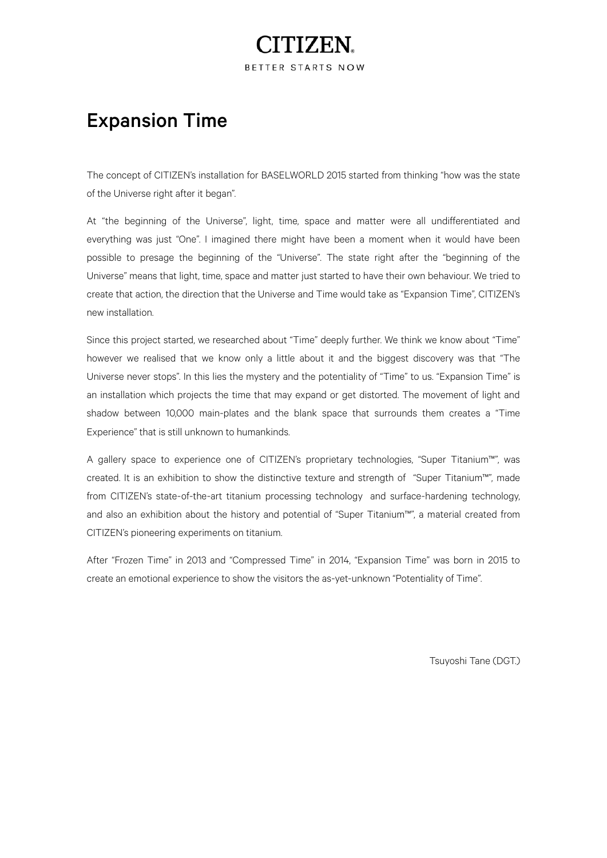# TTZE1

BETTER STARTS NOW

## Expansion Time

The concept of CITIZEN's installation for BASELWORLD 2015 started from thinking "how was the state of the Universe right after it began".

At "the beginning of the Universe", light, time, space and matter were all undifferentiated and everything was just "One". I imagined there might have been a moment when it would have been possible to presage the beginning of the "Universe". The state right after the "beginning of the Universe" means that light, time, space and matter just started to have their own behaviour. We tried to create that action, the direction that the Universe and Time would take as "Expansion Time", CITIZEN's new installation.

Since this project started, we researched about "Time" deeply further. We think we know about "Time" however we realised that we know only a little about it and the biggest discovery was that "The Universe never stops". In this lies the mystery and the potentiality of "Time" to us. "Expansion Time" is an installation which projects the time that may expand or get distorted. The movement of light and shadow between 10,000 main-plates and the blank space that surrounds them creates a "Time Experience" that is still unknown to humankinds.

A gallery space to experience one of CITIZEN's proprietary technologies, "Super Titanium™", was created. It is an exhibition to show the distinctive texture and strength of "Super Titanium™", made from CITIZEN's state-of-the-art titanium processing technology and surface-hardening technology, and also an exhibition about the history and potential of "Super Titanium™", a material created from CITIZEN's pioneering experiments on titanium.

After "Frozen Time" in 2013 and "Compressed Time" in 2014, "Expansion Time" was born in 2015 to create an emotional experience to show the visitors the as-yet-unknown "Potentiality of Time".

Tsuyoshi Tane (DGT.)